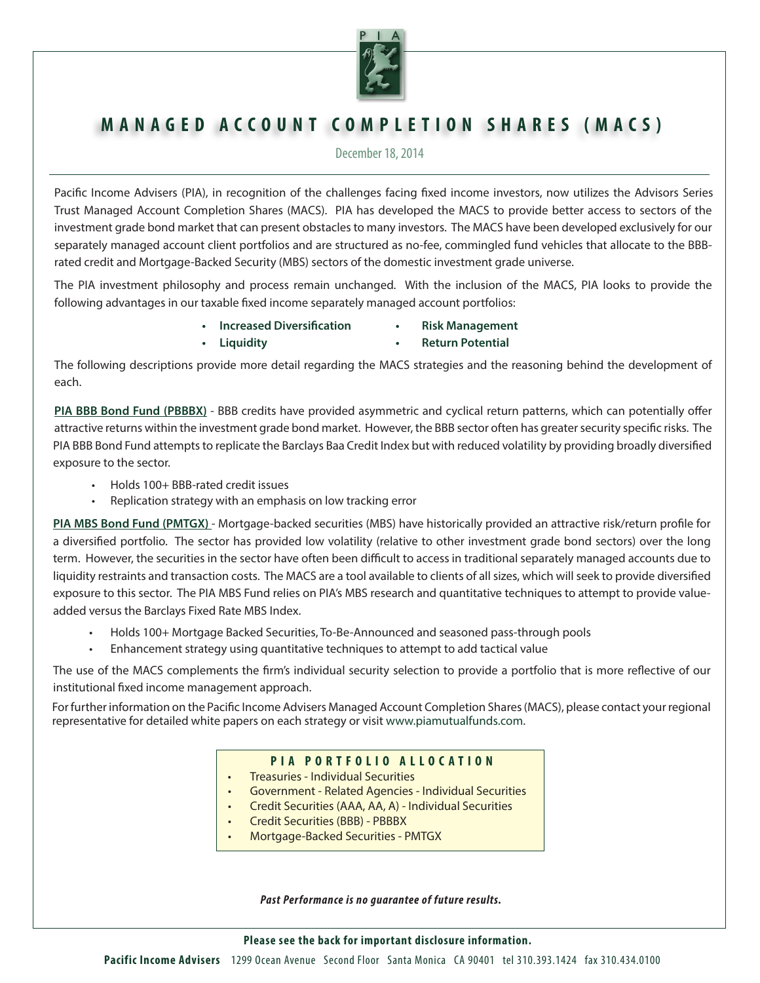

# **MANAGED ACCOUNT COMPLETION SHARES (MACS)**

December 18, 2014

Pacific Income Advisers (PIA), in recognition of the challenges facing fixed income investors, now utilizes the Advisors Series Trust Managed Account Completion Shares (MACS). PIA has developed the MACS to provide better access to sectors of the investment grade bond market that can present obstacles to many investors. The MACS have been developed exclusively for our separately managed account client portfolios and are structured as no-fee, commingled fund vehicles that allocate to the BBBrated credit and Mortgage-Backed Security (MBS) sectors of the domestic investment grade universe.

The PIA investment philosophy and process remain unchanged. With the inclusion of the MACS, PIA looks to provide the following advantages in our taxable fixed income separately managed account portfolios:

- **• Increased Diversification • Risk Management**
- **• Liquidity • Return Potential**

The following descriptions provide more detail regarding the MACS strategies and the reasoning behind the development of each.

**PIA BBB Bond Fund (PBBBX)** - BBB credits have provided asymmetric and cyclical return patterns, which can potentially offer attractive returns within the investment grade bond market. However, the BBB sector often has greater security specific risks. The PIA BBB Bond Fund attempts to replicate the Barclays Baa Credit Index but with reduced volatility by providing broadly diversified exposure to the sector.

- Holds 100+ BBB-rated credit issues
- Replication strategy with an emphasis on low tracking error

**PIA MBS Bond Fund (PMTGX)** - Mortgage-backed securities (MBS) have historically provided an attractive risk/return profile for a diversified portfolio. The sector has provided low volatility (relative to other investment grade bond sectors) over the long term. However, the securities in the sector have often been difficult to access in traditional separately managed accounts due to liquidity restraints and transaction costs. The MACS are a tool available to clients of all sizes, which will seek to provide diversified exposure to this sector. The PIA MBS Fund relies on PIA's MBS research and quantitative techniques to attempt to provide valueadded versus the Barclays Fixed Rate MBS Index.

- Holds 100+ Mortgage Backed Securities, To-Be-Announced and seasoned pass-through pools
- Enhancement strategy using quantitative techniques to attempt to add tactical value

The use of the MACS complements the firm's individual security selection to provide a portfolio that is more reflective of our institutional fixed income management approach.

For further information on the Pacific Income Advisers Managed Account Completion Shares (MACS), please contact your regional representative for detailed white papers on each strategy or visit www.piamutualfunds.com.

# **PIA PORTFOLIO ALLOCATION**

- Treasuries Individual Securities
- Government Related Agencies Individual Securities
- Credit Securities (AAA, AA, A) Individual Securities
- Credit Securities (BBB) PBBBX
- Mortgage-Backed Securities PMTGX

*Past Per formance is no guarantee of future results.*